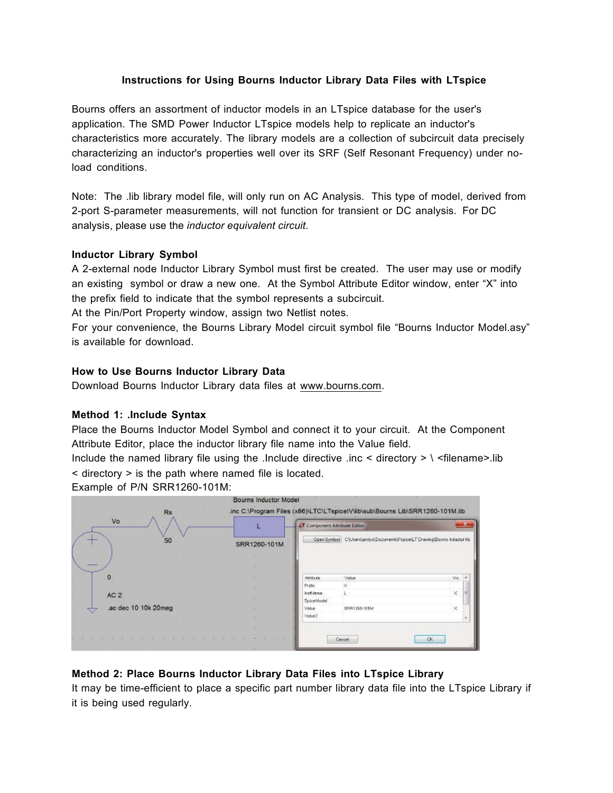## **Instructions for Using Bourns Inductor Library Data Files with LTspice**

Bourns offers an assortment of inductor models in an LTspice database for the user's application. The SMD Power Inductor LTspice models help to replicate an inductor's characteristics more accurately. The library models are a collection of subcircuit data precisely characterizing an inductor's properties well over its SRF (Self Resonant Frequency) under noload conditions.

Note: The .lib library model file, will only run on AC Analysis. This type of model, derived from 2-port S-parameter measurements, will not function for transient or DC analysis. For DC analysis, please use the *inductor equivalent circuit*.

### **Inductor Library Symbol**

A 2-external node Inductor Library Symbol must first be created. The user may use or modify an existing symbol or draw a new one. At the Symbol Attribute Editor window, enter "X" into the prefix field to indicate that the symbol represents a subcircuit.

At the Pin/Port Property window, assign two Netlist notes.

For your convenience, the Bourns Library Model circuit symbol file "Bourns Inductor Model.asy" is available for download.

# **How to Use Bourns Inductor Library Data**

Download Bourns Inductor Library data files at www.bourns.com.

### **Method 1: .Include Syntax**

Place the Bourns Inductor Model Symbol and connect it to your circuit. At the Component Attribute Editor, place the inductor library file name into the Value field.

Include the named library file using the .Include directive .inc < directory >  $\backslash$  <filename>.lib < directory > is the path where named file is located.

Example of P/N SRR1260-101M:

|          |      |  |     |  |  |  |                      |    |  |  |  |  |                               |              |  |  | Bourns Inductor Model |                                                                                                          |                        |                                                                          |           |
|----------|------|--|-----|--|--|--|----------------------|----|--|--|--|--|-------------------------------|--------------|--|--|-----------------------|----------------------------------------------------------------------------------------------------------|------------------------|--------------------------------------------------------------------------|-----------|
| Rs<br>Vo |      |  |     |  |  |  |                      |    |  |  |  |  |                               |              |  |  |                       | .inc C:\Program Files (x86)\LTC\LTspiceIV\lib\sub\Bourns Lib\SRR1260-10<br>LT Component Attribute Editor |                        |                                                                          |           |
|          |      |  |     |  |  |  |                      | 50 |  |  |  |  |                               | SRR1260-101M |  |  |                       |                                                                                                          |                        | Open Symbol CYUsers\andyd\Documents\Pspice\LT Drawing\Bourns Inductor Mc |           |
|          | 1000 |  |     |  |  |  |                      |    |  |  |  |  |                               |              |  |  |                       |                                                                                                          |                        |                                                                          |           |
| w.       |      |  |     |  |  |  |                      |    |  |  |  |  |                               |              |  |  |                       |                                                                                                          | Attribute              | Value                                                                    | Vis       |
| $\sim$   |      |  |     |  |  |  |                      |    |  |  |  |  |                               |              |  |  |                       |                                                                                                          | Prefix                 | $\times$                                                                 |           |
| 50       |      |  | AC2 |  |  |  |                      |    |  |  |  |  |                               |              |  |  |                       |                                                                                                          | hst lame<br>SpiceModel | ы                                                                        | $\times$  |
|          |      |  |     |  |  |  | .ac dec 10 10k 20meg |    |  |  |  |  |                               |              |  |  |                       |                                                                                                          | Value                  | SRR1260-101M                                                             | $\times$  |
|          |      |  |     |  |  |  |                      |    |  |  |  |  |                               |              |  |  |                       |                                                                                                          | Value2                 |                                                                          |           |
|          |      |  |     |  |  |  |                      |    |  |  |  |  |                               |              |  |  |                       |                                                                                                          |                        |                                                                          |           |
|          |      |  |     |  |  |  |                      |    |  |  |  |  |                               |              |  |  |                       |                                                                                                          |                        | Cancel                                                                   | <b>CK</b> |
|          |      |  |     |  |  |  |                      |    |  |  |  |  | the control of the control of |              |  |  |                       |                                                                                                          |                        |                                                                          |           |

# **Method 2: Place Bourns Inductor Library Data Files into LTspice Library**

It may be time-efficient to place a specific part number library data file into the LTspice Library if it is being used regularly.